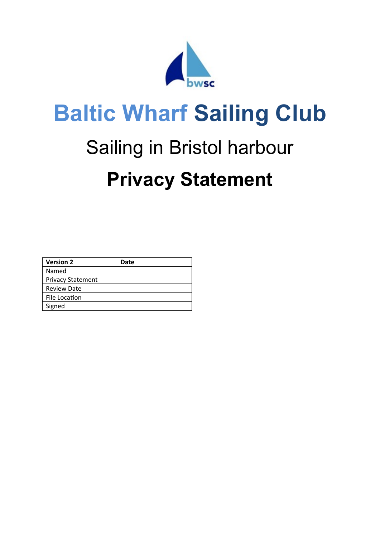

# **Baltic Wharf Sailing Club**

# Sailing in Bristol harbour **Privacy Statement**

| <b>Version 2</b>         | Date |
|--------------------------|------|
| Named                    |      |
| <b>Privacy Statement</b> |      |
| <b>Review Date</b>       |      |
| File Location            |      |
| Signed                   |      |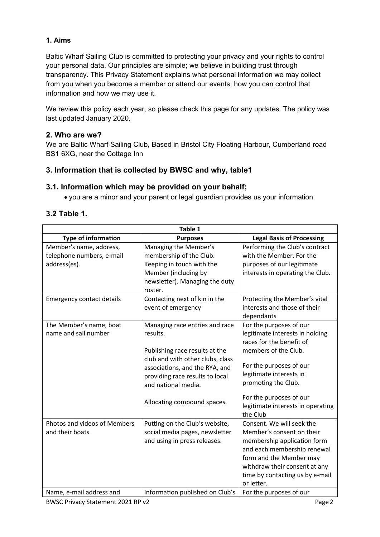#### **1. Aims**

Baltic Wharf Sailing Club is committed to protecting your privacy and your rights to control your personal data. Our principles are simple; we believe in building trust through transparency. This Privacy Statement explains what personal information we may collect from you when you become a member or attend our events; how you can control that information and how we may use it.

We review this policy each year, so please check this page for any updates. The policy was last updated January 2020.

#### **2. Who are we?**

We are Baltic Wharf Sailing Club, Based in Bristol City Floating Harbour, Cumberland road BS1 6XG, near the Cottage Inn

# **3. Information that is collected by BWSC and why, table1**

#### **3.1. Information which may be provided on your behalf;**

you are a minor and your parent or legal guardian provides us your information

#### **3.2 Table 1.**

| Table 1                          |                                                                   |                                               |  |
|----------------------------------|-------------------------------------------------------------------|-----------------------------------------------|--|
| <b>Type of information</b>       | <b>Purposes</b>                                                   | <b>Legal Basis of Processing</b>              |  |
| Member's name, address,          | Managing the Member's                                             | Performing the Club's contract                |  |
| telephone numbers, e-mail        | membership of the Club.                                           | with the Member. For the                      |  |
| address(es).                     | Keeping in touch with the                                         | purposes of our legitimate                    |  |
|                                  | Member (including by<br>newsletter). Managing the duty<br>roster. | interests in operating the Club.              |  |
| <b>Emergency contact details</b> | Contacting next of kin in the                                     | Protecting the Member's vital                 |  |
|                                  | event of emergency                                                | interests and those of their<br>dependants    |  |
| The Member's name, boat          | Managing race entries and race                                    | For the purposes of our                       |  |
| name and sail number             | results.                                                          | legitimate interests in holding               |  |
|                                  |                                                                   | races for the benefit of                      |  |
|                                  | Publishing race results at the                                    | members of the Club.                          |  |
|                                  | club and with other clubs, class                                  |                                               |  |
|                                  | associations, and the RYA, and                                    | For the purposes of our                       |  |
|                                  | providing race results to local                                   | legitimate interests in                       |  |
|                                  | and national media.                                               | promoting the Club.                           |  |
|                                  | Allocating compound spaces.                                       | For the purposes of our                       |  |
|                                  |                                                                   | legitimate interests in operating<br>the Club |  |
| Photos and videos of Members     | Putting on the Club's website,                                    | Consent. We will seek the                     |  |
| and their boats                  | social media pages, newsletter                                    | Member's consent on their                     |  |
|                                  | and using in press releases.                                      | membership application form                   |  |
|                                  |                                                                   | and each membership renewal                   |  |
|                                  |                                                                   | form and the Member may                       |  |
|                                  |                                                                   | withdraw their consent at any                 |  |
|                                  |                                                                   | time by contacting us by e-mail               |  |
|                                  |                                                                   | or letter.                                    |  |
| Name, e-mail address and         | Information published on Club's                                   | For the purposes of our                       |  |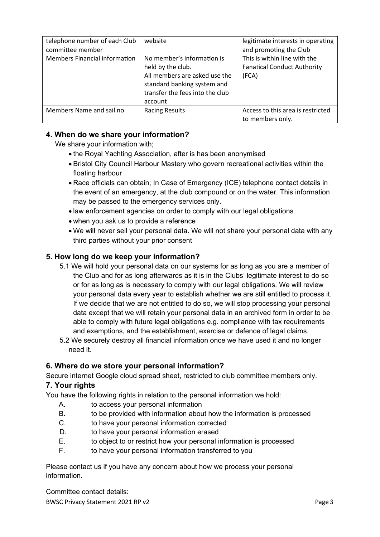| telephone number of each Club        | website                         | legitimate interests in operating  |
|--------------------------------------|---------------------------------|------------------------------------|
| committee member                     |                                 | and promoting the Club             |
| <b>Members Financial information</b> | No member's information is      | This is within line with the       |
|                                      | held by the club.               | <b>Fanatical Conduct Authority</b> |
|                                      | All members are asked use the   | (FCA)                              |
|                                      | standard banking system and     |                                    |
|                                      | transfer the fees into the club |                                    |
|                                      | account                         |                                    |
| Members Name and sail no             | <b>Racing Results</b>           | Access to this area is restricted  |
|                                      |                                 | to members only.                   |

# **4. When do we share your information?**

We share your information with;

- the Royal Yachting Association, after is has been anonymised
- Bristol City Council Harbour Mastery who govern recreational activities within the floating harbour
- Race officials can obtain; In Case of Emergency (ICE) telephone contact details in the event of an emergency, at the club compound or on the water. This information may be passed to the emergency services only.
- law enforcement agencies on order to comply with our legal obligations
- when you ask us to provide a reference
- We will never sell your personal data. We will not share your personal data with any third parties without your prior consent

# **5. How long do we keep your information?**

- 5.1 We will hold your personal data on our systems for as long as you are a member of the Club and for as long afterwards as it is in the Clubs' legitimate interest to do so or for as long as is necessary to comply with our legal obligations. We will review your personal data every year to establish whether we are still entitled to process it. If we decide that we are not entitled to do so, we will stop processing your personal data except that we will retain your personal data in an archived form in order to be able to comply with future legal obligations e.g. compliance with tax requirements and exemptions, and the establishment, exercise or defence of legal claims.
- 5.2 We securely destroy all financial information once we have used it and no longer need it.

# **6. Where do we store your personal information?**

Secure internet Google cloud spread sheet, restricted to club committee members only.

# **7. Your rights**

You have the following rights in relation to the personal information we hold:

- A. to access your personal information
- B. to be provided with information about how the information is processed
- C. to have your personal information corrected
- D. to have your personal information erased
- E. to object to or restrict how your personal information is processed
- F. to have your personal information transferred to you

Please contact us if you have any concern about how we process your personal information.

Committee contact details: BWSC Privacy Statement 2021 RP v2 Page 3